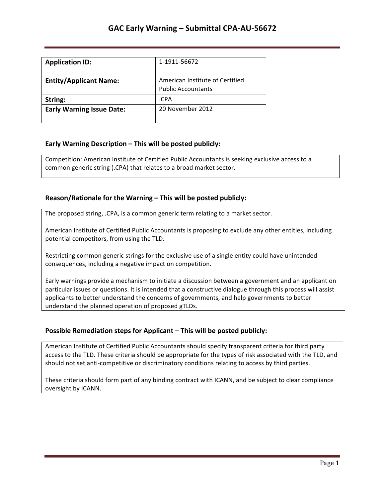| <b>Application ID:</b>           | 1-1911-56672                                                 |
|----------------------------------|--------------------------------------------------------------|
| <b>Entity/Applicant Name:</b>    | American Institute of Certified<br><b>Public Accountants</b> |
| String:                          | .CPA                                                         |
| <b>Early Warning Issue Date:</b> | 20 November 2012                                             |

## **Early Warning Description – This will be posted publicly:**

Competition: American Institute of Certified Public Accountants is seeking exclusive access to a common generic string (.CPA) that relates to a broad market sector.

### **Reason/Rationale for the Warning – This will be posted publicly:**

The proposed string, .CPA, is a common generic term relating to a market sector.

American Institute of Certified Public Accountants is proposing to exclude any other entities, including potential competitors, from using the TLD.

Restricting common generic strings for the exclusive use of a single entity could have unintended consequences, including a negative impact on competition.

Early warnings provide a mechanism to initiate a discussion between a government and an applicant on particular issues or questions. It is intended that a constructive dialogue through this process will assist applicants to better understand the concerns of governments, and help governments to better understand the planned operation of proposed gTLDs.

### **Possible Remediation steps for Applicant – This will be posted publicly:**

American Institute of Certified Public Accountants should specify transparent criteria for third party access to the TLD. These criteria should be appropriate for the types of risk associated with the TLD, and should not set anti-competitive or discriminatory conditions relating to access by third parties.

These criteria should form part of any binding contract with ICANN, and be subject to clear compliance oversight by ICANN.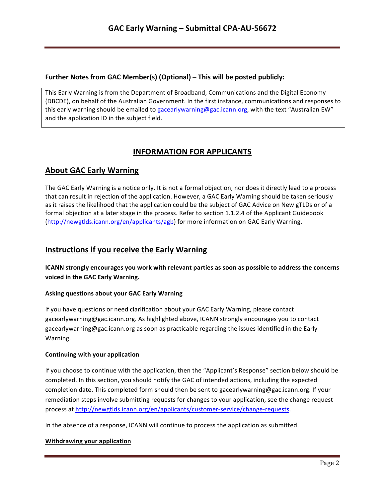### **Further Notes from GAC Member(s) (Optional) – This will be posted publicly:**

This Early Warning is from the Department of Broadband, Communications and the Digital Economy (DBCDE), on behalf of the Australian Government. In the first instance, communications and responses to this early warning should be emailed to gacearlywarning@gac.icann.org, with the text "Australian EW" and the application ID in the subject field.

# **INFORMATION FOR APPLICANTS**

## **About GAC Early Warning**

The GAC Early Warning is a notice only. It is not a formal objection, nor does it directly lead to a process that can result in rejection of the application. However, a GAC Early Warning should be taken seriously as it raises the likelihood that the application could be the subject of GAC Advice on New gTLDs or of a formal objection at a later stage in the process. Refer to section 1.1.2.4 of the Applicant Guidebook (http://newgtlds.icann.org/en/applicants/agb) for more information on GAC Early Warning.

## **Instructions if you receive the Early Warning**

**ICANN** strongly encourages you work with relevant parties as soon as possible to address the concerns voiced in the GAC Early Warning.

#### **Asking questions about your GAC Early Warning**

If you have questions or need clarification about your GAC Early Warning, please contact gacearlywarning@gac.icann.org. As highlighted above, ICANN strongly encourages you to contact gacearlywarning@gac.icann.org as soon as practicable regarding the issues identified in the Early Warning. 

#### **Continuing with your application**

If you choose to continue with the application, then the "Applicant's Response" section below should be completed. In this section, you should notify the GAC of intended actions, including the expected completion date. This completed form should then be sent to gacearlywarning@gac.icann.org. If your remediation steps involve submitting requests for changes to your application, see the change request process at http://newgtlds.icann.org/en/applicants/customer-service/change-requests.

In the absence of a response, ICANN will continue to process the application as submitted.

#### **Withdrawing your application**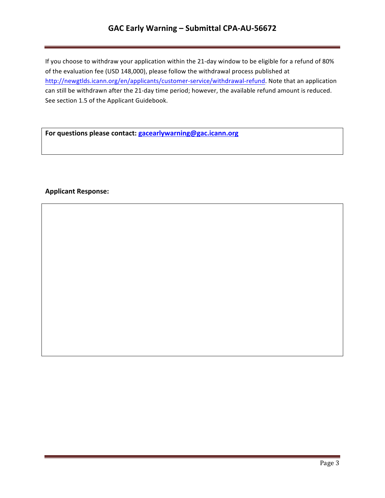# GAC Early Warning - Submittal CPA-AU-56672

If you choose to withdraw your application within the 21-day window to be eligible for a refund of 80% of the evaluation fee (USD 148,000), please follow the withdrawal process published at http://newgtlds.icann.org/en/applicants/customer-service/withdrawal-refund. Note that an application can still be withdrawn after the 21-day time period; however, the available refund amount is reduced. See section 1.5 of the Applicant Guidebook.

For questions please contact: **gacearlywarning@gac.icann.org** 

### **Applicant Response:**